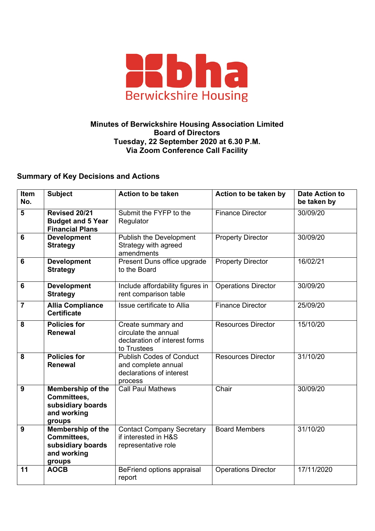

## **Minutes of Berwickshire Housing Association Limited Board of Directors Tuesday, 22 September 2020 at 6.30 P.M. Via Zoom Conference Call Facility**

## **Summary of Key Decisions and Actions**

| <b>Item</b><br>No. | <b>Subject</b>                                                                 | <b>Action to be taken</b>                                                                     | Action to be taken by      | <b>Date Action to</b><br>be taken by |
|--------------------|--------------------------------------------------------------------------------|-----------------------------------------------------------------------------------------------|----------------------------|--------------------------------------|
| 5                  | Revised 20/21<br><b>Budget and 5 Year</b><br><b>Financial Plans</b>            | Submit the FYFP to the<br>Regulator                                                           | <b>Finance Director</b>    | 30/09/20                             |
| $6\phantom{1}6$    | <b>Development</b><br><b>Strategy</b>                                          | <b>Publish the Development</b><br>Strategy with agreed<br>amendments                          | <b>Property Director</b>   | 30/09/20                             |
| $6\phantom{1}6$    | <b>Development</b><br><b>Strategy</b>                                          | Present Duns office upgrade<br>to the Board                                                   | <b>Property Director</b>   | 16/02/21                             |
| $6\phantom{1}$     | <b>Development</b><br><b>Strategy</b>                                          | Include affordability figures in<br>rent comparison table                                     | <b>Operations Director</b> | 30/09/20                             |
| $\overline{7}$     | <b>Allia Compliance</b><br><b>Certificate</b>                                  | Issue certificate to Allia                                                                    | <b>Finance Director</b>    | 25/09/20                             |
| 8                  | <b>Policies for</b><br><b>Renewal</b>                                          | Create summary and<br>circulate the annual<br>declaration of interest forms<br>to Trustees    | <b>Resources Director</b>  | 15/10/20                             |
| 8                  | <b>Policies for</b><br><b>Renewal</b>                                          | <b>Publish Codes of Conduct</b><br>and complete annual<br>declarations of interest<br>process | <b>Resources Director</b>  | 31/10/20                             |
| 9                  | Membership of the<br>Committees,<br>subsidiary boards<br>and working<br>groups | <b>Call Paul Mathews</b>                                                                      | Chair                      | 30/09/20                             |
| 9                  | Membership of the<br>Committees,<br>subsidiary boards<br>and working<br>groups | <b>Contact Company Secretary</b><br>if interested in H&S<br>representative role               | <b>Board Members</b>       | 31/10/20                             |
| 11                 | <b>AOCB</b>                                                                    | BeFriend options appraisal<br>report                                                          | <b>Operations Director</b> | 17/11/2020                           |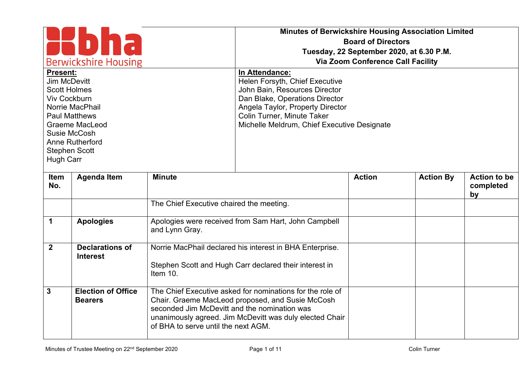| <b>Berwickshire Housing</b>                                                                                                                                                                                                                                                                                                                                                                                                                                                     |                                             |                                                                                     | Minutes of Berwickshire Housing Association Limited                                                                                                                      | <b>Board of Directors</b><br>Tuesday, 22 September 2020, at 6.30 P.M.<br><b>Via Zoom Conference Call Facility</b> |                  |                                        |
|---------------------------------------------------------------------------------------------------------------------------------------------------------------------------------------------------------------------------------------------------------------------------------------------------------------------------------------------------------------------------------------------------------------------------------------------------------------------------------|---------------------------------------------|-------------------------------------------------------------------------------------|--------------------------------------------------------------------------------------------------------------------------------------------------------------------------|-------------------------------------------------------------------------------------------------------------------|------------------|----------------------------------------|
| In Attendance:<br><b>Present:</b><br>Jim McDevitt<br>Helen Forsyth, Chief Executive<br><b>Scott Holmes</b><br>John Bain, Resources Director<br><b>Viv Cockburn</b><br>Dan Blake, Operations Director<br>Norrie MacPhail<br>Angela Taylor, Property Director<br>Colin Turner, Minute Taker<br><b>Paul Matthews</b><br>Michelle Meldrum, Chief Executive Designate<br><b>Graeme MacLeod</b><br>Susie McCosh<br><b>Anne Rutherford</b><br><b>Stephen Scott</b><br><b>Hugh Carr</b> |                                             |                                                                                     |                                                                                                                                                                          |                                                                                                                   |                  |                                        |
| Item<br>No.                                                                                                                                                                                                                                                                                                                                                                                                                                                                     | <b>Agenda Item</b>                          | <b>Minute</b>                                                                       |                                                                                                                                                                          | <b>Action</b>                                                                                                     | <b>Action By</b> | <b>Action to be</b><br>completed<br>by |
|                                                                                                                                                                                                                                                                                                                                                                                                                                                                                 |                                             | The Chief Executive chaired the meeting.                                            |                                                                                                                                                                          |                                                                                                                   |                  |                                        |
| $\mathbf 1$                                                                                                                                                                                                                                                                                                                                                                                                                                                                     | <b>Apologies</b>                            | and Lynn Gray.                                                                      | Apologies were received from Sam Hart, John Campbell                                                                                                                     |                                                                                                                   |                  |                                        |
| $\overline{2}$                                                                                                                                                                                                                                                                                                                                                                                                                                                                  | <b>Declarations of</b><br><b>Interest</b>   | Item 10.                                                                            | Norrie MacPhail declared his interest in BHA Enterprise.<br>Stephen Scott and Hugh Carr declared their interest in                                                       |                                                                                                                   |                  |                                        |
| 3                                                                                                                                                                                                                                                                                                                                                                                                                                                                               | <b>Election of Office</b><br><b>Bearers</b> | seconded Jim McDevitt and the nomination was<br>of BHA to serve until the next AGM. | The Chief Executive asked for nominations for the role of<br>Chair. Graeme MacLeod proposed, and Susie McCosh<br>unanimously agreed. Jim McDevitt was duly elected Chair |                                                                                                                   |                  |                                        |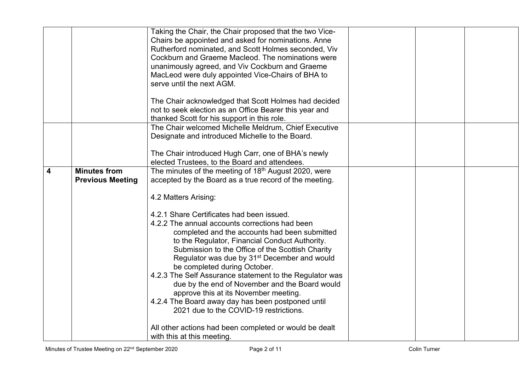|   |                         | Taking the Chair, the Chair proposed that the two Vice-          |  |  |
|---|-------------------------|------------------------------------------------------------------|--|--|
|   |                         | Chairs be appointed and asked for nominations. Anne              |  |  |
|   |                         | Rutherford nominated, and Scott Holmes seconded, Viv             |  |  |
|   |                         | Cockburn and Graeme Macleod. The nominations were                |  |  |
|   |                         | unanimously agreed, and Viv Cockburn and Graeme                  |  |  |
|   |                         | MacLeod were duly appointed Vice-Chairs of BHA to                |  |  |
|   |                         | serve until the next AGM.                                        |  |  |
|   |                         |                                                                  |  |  |
|   |                         | The Chair acknowledged that Scott Holmes had decided             |  |  |
|   |                         | not to seek election as an Office Bearer this year and           |  |  |
|   |                         | thanked Scott for his support in this role.                      |  |  |
|   |                         | The Chair welcomed Michelle Meldrum, Chief Executive             |  |  |
|   |                         | Designate and introduced Michelle to the Board.                  |  |  |
|   |                         |                                                                  |  |  |
|   |                         | The Chair introduced Hugh Carr, one of BHA's newly               |  |  |
|   |                         | elected Trustees, to the Board and attendees.                    |  |  |
| 4 | <b>Minutes from</b>     | The minutes of the meeting of 18 <sup>th</sup> August 2020, were |  |  |
|   | <b>Previous Meeting</b> | accepted by the Board as a true record of the meeting.           |  |  |
|   |                         |                                                                  |  |  |
|   |                         | 4.2 Matters Arising:                                             |  |  |
|   |                         |                                                                  |  |  |
|   |                         | 4.2.1 Share Certificates had been issued.                        |  |  |
|   |                         | 4.2.2 The annual accounts corrections had been                   |  |  |
|   |                         | completed and the accounts had been submitted                    |  |  |
|   |                         | to the Regulator, Financial Conduct Authority.                   |  |  |
|   |                         | Submission to the Office of the Scottish Charity                 |  |  |
|   |                         | Regulator was due by 31 <sup>st</sup> December and would         |  |  |
|   |                         | be completed during October.                                     |  |  |
|   |                         | 4.2.3 The Self Assurance statement to the Regulator was          |  |  |
|   |                         | due by the end of November and the Board would                   |  |  |
|   |                         | approve this at its November meeting.                            |  |  |
|   |                         | 4.2.4 The Board away day has been postponed until                |  |  |
|   |                         | 2021 due to the COVID-19 restrictions.                           |  |  |
|   |                         |                                                                  |  |  |
|   |                         | All other actions had been completed or would be dealt           |  |  |
|   |                         | with this at this meeting.                                       |  |  |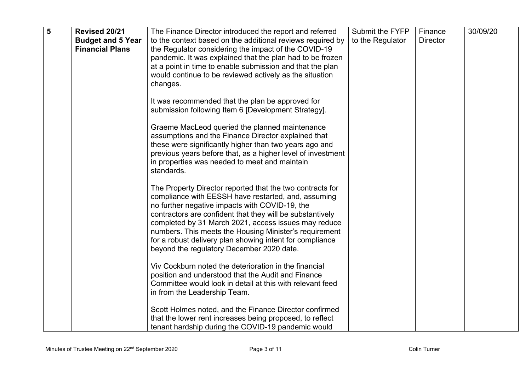| 5 | Revised 20/21            | The Finance Director introduced the report and referred                                                            | Submit the FYFP  | Finance         | 30/09/20 |
|---|--------------------------|--------------------------------------------------------------------------------------------------------------------|------------------|-----------------|----------|
|   | <b>Budget and 5 Year</b> | to the context based on the additional reviews required by                                                         | to the Regulator | <b>Director</b> |          |
|   | <b>Financial Plans</b>   | the Regulator considering the impact of the COVID-19                                                               |                  |                 |          |
|   |                          | pandemic. It was explained that the plan had to be frozen                                                          |                  |                 |          |
|   |                          | at a point in time to enable submission and that the plan                                                          |                  |                 |          |
|   |                          | would continue to be reviewed actively as the situation                                                            |                  |                 |          |
|   |                          | changes.                                                                                                           |                  |                 |          |
|   |                          |                                                                                                                    |                  |                 |          |
|   |                          | It was recommended that the plan be approved for                                                                   |                  |                 |          |
|   |                          | submission following Item 6 [Development Strategy].                                                                |                  |                 |          |
|   |                          |                                                                                                                    |                  |                 |          |
|   |                          | Graeme MacLeod queried the planned maintenance                                                                     |                  |                 |          |
|   |                          | assumptions and the Finance Director explained that                                                                |                  |                 |          |
|   |                          | these were significantly higher than two years ago and                                                             |                  |                 |          |
|   |                          | previous years before that, as a higher level of investment                                                        |                  |                 |          |
|   |                          | in properties was needed to meet and maintain                                                                      |                  |                 |          |
|   |                          | standards.                                                                                                         |                  |                 |          |
|   |                          |                                                                                                                    |                  |                 |          |
|   |                          | The Property Director reported that the two contracts for                                                          |                  |                 |          |
|   |                          | compliance with EESSH have restarted, and, assuming                                                                |                  |                 |          |
|   |                          | no further negative impacts with COVID-19, the                                                                     |                  |                 |          |
|   |                          | contractors are confident that they will be substantively                                                          |                  |                 |          |
|   |                          | completed by 31 March 2021, access issues may reduce                                                               |                  |                 |          |
|   |                          | numbers. This meets the Housing Minister's requirement<br>for a robust delivery plan showing intent for compliance |                  |                 |          |
|   |                          | beyond the regulatory December 2020 date.                                                                          |                  |                 |          |
|   |                          |                                                                                                                    |                  |                 |          |
|   |                          | Viv Cockburn noted the deterioration in the financial                                                              |                  |                 |          |
|   |                          | position and understood that the Audit and Finance                                                                 |                  |                 |          |
|   |                          | Committee would look in detail at this with relevant feed                                                          |                  |                 |          |
|   |                          | in from the Leadership Team.                                                                                       |                  |                 |          |
|   |                          |                                                                                                                    |                  |                 |          |
|   |                          | Scott Holmes noted, and the Finance Director confirmed                                                             |                  |                 |          |
|   |                          | that the lower rent increases being proposed, to reflect                                                           |                  |                 |          |
|   |                          | tenant hardship during the COVID-19 pandemic would                                                                 |                  |                 |          |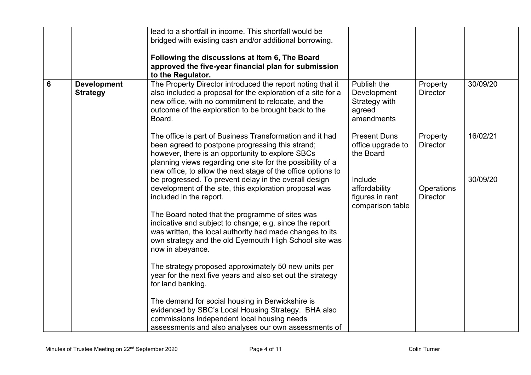|   |                                       | lead to a shortfall in income. This shortfall would be<br>bridged with existing cash and/or additional borrowing.<br>Following the discussions at Item 6, The Board<br>approved the five-year financial plan for submission<br>to the Regulator.                                               |                                                                     |                               |          |
|---|---------------------------------------|------------------------------------------------------------------------------------------------------------------------------------------------------------------------------------------------------------------------------------------------------------------------------------------------|---------------------------------------------------------------------|-------------------------------|----------|
| 6 | <b>Development</b><br><b>Strategy</b> | The Property Director introduced the report noting that it<br>also included a proposal for the exploration of a site for a<br>new office, with no commitment to relocate, and the<br>outcome of the exploration to be brought back to the<br>Board.                                            | Publish the<br>Development<br>Strategy with<br>agreed<br>amendments | Property<br><b>Director</b>   | 30/09/20 |
|   |                                       | The office is part of Business Transformation and it had<br>been agreed to postpone progressing this strand;<br>however, there is an opportunity to explore SBCs<br>planning views regarding one site for the possibility of a<br>new office, to allow the next stage of the office options to | <b>Present Duns</b><br>office upgrade to<br>the Board               | Property<br><b>Director</b>   | 16/02/21 |
|   |                                       | be progressed. To prevent delay in the overall design<br>development of the site, this exploration proposal was<br>included in the report.<br>The Board noted that the programme of sites was                                                                                                  | Include<br>affordability<br>figures in rent<br>comparison table     | Operations<br><b>Director</b> | 30/09/20 |
|   |                                       | indicative and subject to change; e.g. since the report<br>was written, the local authority had made changes to its<br>own strategy and the old Eyemouth High School site was<br>now in abeyance.                                                                                              |                                                                     |                               |          |
|   |                                       | The strategy proposed approximately 50 new units per<br>year for the next five years and also set out the strategy<br>for land banking.                                                                                                                                                        |                                                                     |                               |          |
|   |                                       | The demand for social housing in Berwickshire is<br>evidenced by SBC's Local Housing Strategy. BHA also<br>commissions independent local housing needs<br>assessments and also analyses our own assessments of                                                                                 |                                                                     |                               |          |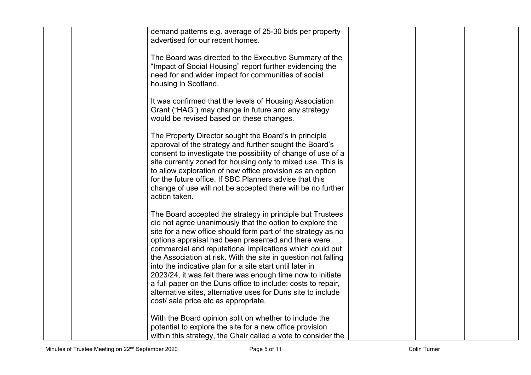| demand patterns e.g. average of 25-30 bids per property<br>advertised for our recent homes.                                                                                                                                                                                                                                                                                                                                                                                                                                                                                                                                                                                  |  |  |
|------------------------------------------------------------------------------------------------------------------------------------------------------------------------------------------------------------------------------------------------------------------------------------------------------------------------------------------------------------------------------------------------------------------------------------------------------------------------------------------------------------------------------------------------------------------------------------------------------------------------------------------------------------------------------|--|--|
| The Board was directed to the Executive Summary of the<br>"Impact of Social Housing" report further evidencing the<br>need for and wider impact for communities of social<br>housing in Scotland.                                                                                                                                                                                                                                                                                                                                                                                                                                                                            |  |  |
| It was confirmed that the levels of Housing Association<br>Grant ("HAG") may change in future and any strategy<br>would be revised based on these changes.                                                                                                                                                                                                                                                                                                                                                                                                                                                                                                                   |  |  |
| The Property Director sought the Board's in principle<br>approval of the strategy and further sought the Board's<br>consent to investigate the possibility of change of use of a<br>site currently zoned for housing only to mixed use. This is<br>to allow exploration of new office provision as an option<br>for the future office. If SBC Planners advise that this<br>change of use will not be accepted there will be no further<br>action taken.                                                                                                                                                                                                                      |  |  |
| The Board accepted the strategy in principle but Trustees<br>did not agree unanimously that the option to explore the<br>site for a new office should form part of the strategy as no<br>options appraisal had been presented and there were<br>commercial and reputational implications which could put<br>the Association at risk. With the site in question not falling<br>into the indicative plan for a site start until later in<br>2023/24, it was felt there was enough time now to initiate<br>a full paper on the Duns office to include: costs to repair,<br>alternative sites, alternative uses for Duns site to include<br>cost/ sale price etc as appropriate. |  |  |
| With the Board opinion split on whether to include the<br>potential to explore the site for a new office provision<br>within this strategy, the Chair called a vote to consider the                                                                                                                                                                                                                                                                                                                                                                                                                                                                                          |  |  |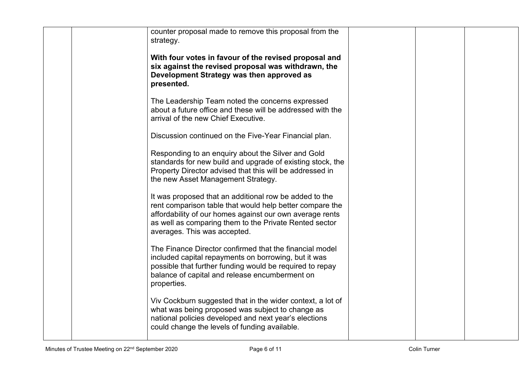|  | counter proposal made to remove this proposal from the<br>strategy.                                                                                                                                                                                                      |  |  |
|--|--------------------------------------------------------------------------------------------------------------------------------------------------------------------------------------------------------------------------------------------------------------------------|--|--|
|  | With four votes in favour of the revised proposal and<br>six against the revised proposal was withdrawn, the<br>Development Strategy was then approved as<br>presented.                                                                                                  |  |  |
|  | The Leadership Team noted the concerns expressed<br>about a future office and these will be addressed with the<br>arrival of the new Chief Executive.                                                                                                                    |  |  |
|  | Discussion continued on the Five-Year Financial plan.                                                                                                                                                                                                                    |  |  |
|  | Responding to an enquiry about the Silver and Gold<br>standards for new build and upgrade of existing stock, the<br>Property Director advised that this will be addressed in<br>the new Asset Management Strategy.                                                       |  |  |
|  | It was proposed that an additional row be added to the<br>rent comparison table that would help better compare the<br>affordability of our homes against our own average rents<br>as well as comparing them to the Private Rented sector<br>averages. This was accepted. |  |  |
|  | The Finance Director confirmed that the financial model<br>included capital repayments on borrowing, but it was<br>possible that further funding would be required to repay<br>balance of capital and release encumberment on<br>properties.                             |  |  |
|  | Viv Cockburn suggested that in the wider context, a lot of<br>what was being proposed was subject to change as<br>national policies developed and next year's elections<br>could change the levels of funding available.                                                 |  |  |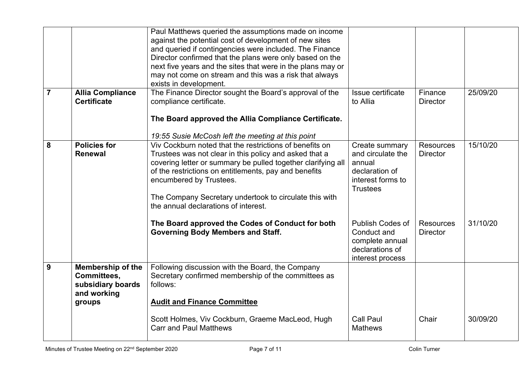|                |                                                                                              | Paul Matthews queried the assumptions made on income<br>against the potential cost of development of new sites<br>and queried if contingencies were included. The Finance<br>Director confirmed that the plans were only based on the<br>next five years and the sites that were in the plans may or<br>may not come on stream and this was a risk that always<br>exists in development. |                                                                                                         |                                     |          |
|----------------|----------------------------------------------------------------------------------------------|------------------------------------------------------------------------------------------------------------------------------------------------------------------------------------------------------------------------------------------------------------------------------------------------------------------------------------------------------------------------------------------|---------------------------------------------------------------------------------------------------------|-------------------------------------|----------|
| $\overline{7}$ | <b>Allia Compliance</b><br><b>Certificate</b>                                                | The Finance Director sought the Board's approval of the<br>compliance certificate.<br>The Board approved the Allia Compliance Certificate.<br>19:55 Susie McCosh left the meeting at this point                                                                                                                                                                                          | Issue certificate<br>to Allia                                                                           | Finance<br><b>Director</b>          | 25/09/20 |
| 8              | <b>Policies for</b><br><b>Renewal</b>                                                        | Viv Cockburn noted that the restrictions of benefits on<br>Trustees was not clear in this policy and asked that a<br>covering letter or summary be pulled together clarifying all<br>of the restrictions on entitlements, pay and benefits<br>encumbered by Trustees.<br>The Company Secretary undertook to circulate this with<br>the annual declarations of interest.                  | Create summary<br>and circulate the<br>annual<br>declaration of<br>interest forms to<br><b>Trustees</b> | <b>Resources</b><br><b>Director</b> | 15/10/20 |
|                |                                                                                              | The Board approved the Codes of Conduct for both<br><b>Governing Body Members and Staff.</b>                                                                                                                                                                                                                                                                                             | <b>Publish Codes of</b><br>Conduct and<br>complete annual<br>declarations of<br>interest process        | <b>Resources</b><br><b>Director</b> | 31/10/20 |
| 9              | <b>Membership of the</b><br><b>Committees.</b><br>subsidiary boards<br>and working<br>groups | Following discussion with the Board, the Company<br>Secretary confirmed membership of the committees as<br>follows:<br><b>Audit and Finance Committee</b>                                                                                                                                                                                                                                |                                                                                                         |                                     |          |
|                |                                                                                              | Scott Holmes, Viv Cockburn, Graeme MacLeod, Hugh<br><b>Carr and Paul Matthews</b>                                                                                                                                                                                                                                                                                                        | <b>Call Paul</b><br><b>Mathews</b>                                                                      | Chair                               | 30/09/20 |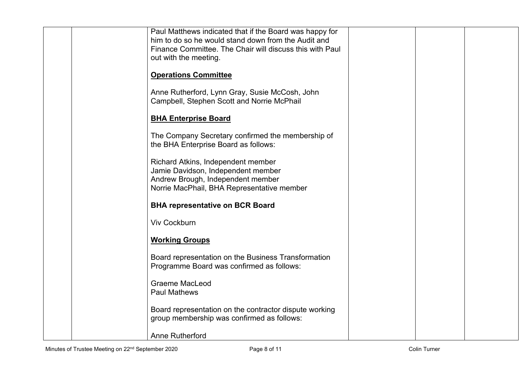| Paul Matthews indicated that if the Board was happy for<br>him to do so he would stand down from the Audit and |  |  |
|----------------------------------------------------------------------------------------------------------------|--|--|
| Finance Committee. The Chair will discuss this with Paul<br>out with the meeting.                              |  |  |
| <b>Operations Committee</b>                                                                                    |  |  |
|                                                                                                                |  |  |
| Anne Rutherford, Lynn Gray, Susie McCosh, John<br>Campbell, Stephen Scott and Norrie McPhail                   |  |  |
| <b>BHA Enterprise Board</b>                                                                                    |  |  |
| The Company Secretary confirmed the membership of<br>the BHA Enterprise Board as follows:                      |  |  |
| Richard Atkins, Independent member<br>Jamie Davidson, Independent member                                       |  |  |
| Andrew Brough, Independent member<br>Norrie MacPhail, BHA Representative member                                |  |  |
| <b>BHA representative on BCR Board</b>                                                                         |  |  |
| <b>Viv Cockburn</b>                                                                                            |  |  |
| <b>Working Groups</b>                                                                                          |  |  |
| Board representation on the Business Transformation<br>Programme Board was confirmed as follows:               |  |  |
| <b>Graeme MacLeod</b><br><b>Paul Mathews</b>                                                                   |  |  |
| Board representation on the contractor dispute working<br>group membership was confirmed as follows:           |  |  |
| <b>Anne Rutherford</b>                                                                                         |  |  |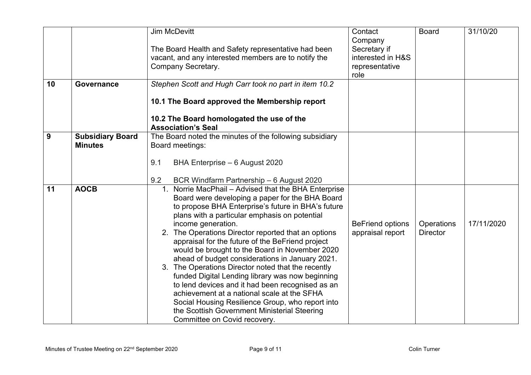| 10 | <b>Governance</b>                         | <b>Jim McDevitt</b><br>The Board Health and Safety representative had been<br>vacant, and any interested members are to notify the<br>Company Secretary.<br>Stephen Scott and Hugh Carr took no part in item 10.2                                                                                                                                                                                                                                                                                                                                                                                                                                                                                                                                                                                                 | Contact<br>Company<br>Secretary if<br>interested in H&S<br>representative<br>role | <b>Board</b>                  | 31/10/20   |
|----|-------------------------------------------|-------------------------------------------------------------------------------------------------------------------------------------------------------------------------------------------------------------------------------------------------------------------------------------------------------------------------------------------------------------------------------------------------------------------------------------------------------------------------------------------------------------------------------------------------------------------------------------------------------------------------------------------------------------------------------------------------------------------------------------------------------------------------------------------------------------------|-----------------------------------------------------------------------------------|-------------------------------|------------|
|    |                                           | 10.1 The Board approved the Membership report<br>10.2 The Board homologated the use of the<br><b>Association's Seal</b>                                                                                                                                                                                                                                                                                                                                                                                                                                                                                                                                                                                                                                                                                           |                                                                                   |                               |            |
| 9  | <b>Subsidiary Board</b><br><b>Minutes</b> | The Board noted the minutes of the following subsidiary<br>Board meetings:<br>9.1<br>BHA Enterprise - 6 August 2020                                                                                                                                                                                                                                                                                                                                                                                                                                                                                                                                                                                                                                                                                               |                                                                                   |                               |            |
|    |                                           | 9.2<br>BCR Windfarm Partnership - 6 August 2020                                                                                                                                                                                                                                                                                                                                                                                                                                                                                                                                                                                                                                                                                                                                                                   |                                                                                   |                               |            |
| 11 | <b>AOCB</b>                               | Norrie MacPhail - Advised that the BHA Enterprise<br>$1_{\cdot}$<br>Board were developing a paper for the BHA Board<br>to propose BHA Enterprise's future in BHA's future<br>plans with a particular emphasis on potential<br>income generation.<br>2. The Operations Director reported that an options<br>appraisal for the future of the BeFriend project<br>would be brought to the Board in November 2020<br>ahead of budget considerations in January 2021.<br>3. The Operations Director noted that the recently<br>funded Digital Lending library was now beginning<br>to lend devices and it had been recognised as an<br>achievement at a national scale at the SFHA<br>Social Housing Resilience Group, who report into<br>the Scottish Government Ministerial Steering<br>Committee on Covid recovery. | <b>BeFriend options</b><br>appraisal report                                       | Operations<br><b>Director</b> | 17/11/2020 |